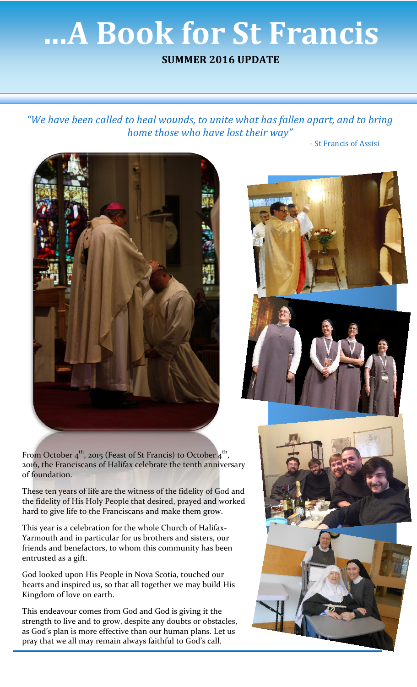## **…A Book for St Francis**

## **SUMMER 2016 UPDATE**

*"We have been called to heal wounds, to unite what has fallen apart, and to bring home those who have lost their way"*

- St Francis of Assisi







From October  $4^{\text{th}}$ , 2015 (Feast of St Francis) to October  $4^{\text{th}}$ , 2016, the Franciscans of Halifax celebrate the tenth anniversary of foundation.

These ten years of life are the witness of the fidelity of God and the fidelity of His Holy People that desired, prayed and worked hard to give life to the Franciscans and make them grow.

This year is a celebration for the whole Church of Halifax-Yarmouth and in particular for us brothers and sisters, our friends and benefactors, to whom this community has been entrusted as a gift.

God looked upon His People in Nova Scotia, touched our hearts and inspired us, so that all together we may build His Kingdom of love on earth.

This endeavour comes from God and God is giving it the strength to live and to grow, despite any doubts or obstacles, as God's plan is more effective than our human plans. Let us pray that we all may remain always faithful to God's call.